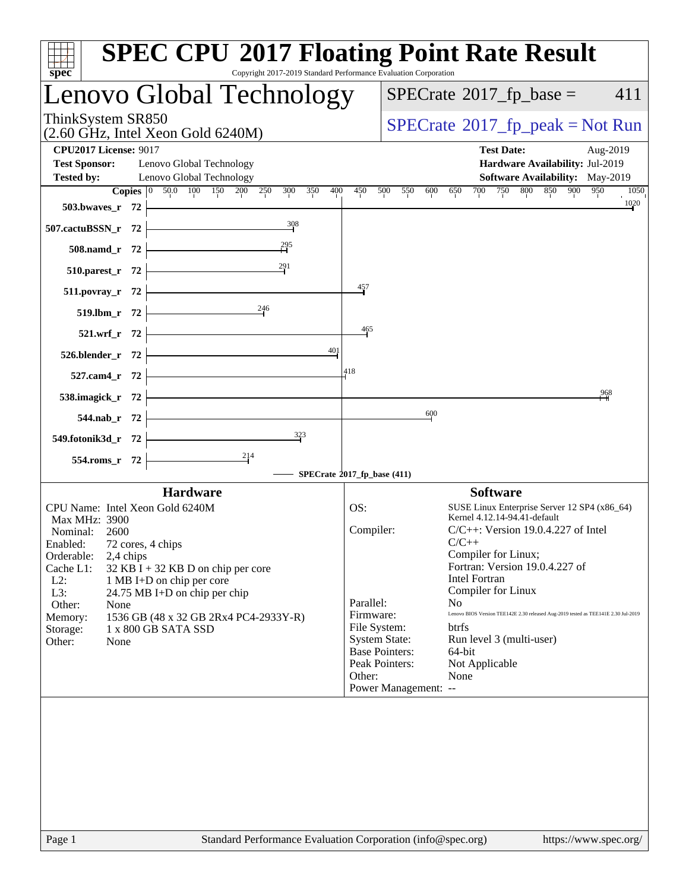| Lenovo Global Technology                                                         |                             |                                               | $SPECrate^{\circ}2017$ _fp_base =                               | 411                                                                                |
|----------------------------------------------------------------------------------|-----------------------------|-----------------------------------------------|-----------------------------------------------------------------|------------------------------------------------------------------------------------|
| ThinkSystem SR850<br>$(2.60 \text{ GHz}, \text{Intel Xeon Gold } 6240 \text{M})$ |                             |                                               | $SPECrate^{\circ}2017$ [p_peak = Not Run                        |                                                                                    |
| <b>CPU2017 License: 9017</b>                                                     |                             |                                               | <b>Test Date:</b>                                               | Aug-2019                                                                           |
| <b>Test Sponsor:</b><br>Lenovo Global Technology                                 |                             |                                               |                                                                 | Hardware Availability: Jul-2019                                                    |
| Lenovo Global Technology<br><b>Tested by:</b>                                    |                             |                                               |                                                                 | <b>Software Availability:</b> May-2019                                             |
| Copies 0 50.0 100 150 200 250<br>300<br>350<br>503.bwaves_r 72                   | 400<br>450                  | 500<br>550                                    | 750<br>700<br>600<br>650                                        | 800 850 900<br>950<br>1050<br>1020                                                 |
| $\frac{308}{1}$<br>507.cactuBSSN_r 72                                            |                             |                                               |                                                                 |                                                                                    |
| 508.namd_r 72                                                                    |                             |                                               |                                                                 |                                                                                    |
| 510.parest_r 72                                                                  |                             |                                               |                                                                 |                                                                                    |
| 511.povray_r 72                                                                  | 457                         |                                               |                                                                 |                                                                                    |
| $\frac{246}{1}$<br>519.lbm_r 72                                                  |                             |                                               |                                                                 |                                                                                    |
| 521.wrf_r 72                                                                     | 465                         |                                               |                                                                 |                                                                                    |
| $526.blender_r 72$                                                               | 401                         |                                               |                                                                 |                                                                                    |
| 527.cam4_r 72 $\vert$                                                            | 418                         |                                               |                                                                 |                                                                                    |
| 538.imagick_r $72$                                                               |                             |                                               |                                                                 | 968                                                                                |
| <u> 1989 - Johann Barbara, martxa a</u><br>544.nab_r 72                          |                             | 600                                           |                                                                 |                                                                                    |
| $\frac{323}{7}$<br>549.fotonik3d_r 72                                            |                             |                                               |                                                                 |                                                                                    |
| 554.roms_r 72                                                                    |                             |                                               |                                                                 |                                                                                    |
|                                                                                  | SPECrate®2017_fp_base (411) |                                               |                                                                 |                                                                                    |
| <b>Hardware</b><br>CPU Name: Intel Xeon Gold 6240M                               | OS:                         |                                               | <b>Software</b><br>SUSE Linux Enterprise Server 12 SP4 (x86_64) |                                                                                    |
| Max MHz: 3900                                                                    |                             |                                               | Kernel 4.12.14-94.41-default                                    |                                                                                    |
| Nominal:<br>2600                                                                 | Compiler:                   |                                               | $C/C++$ : Version 19.0.4.227 of Intel<br>$C/C++$                |                                                                                    |
| 72 cores, 4 chips<br>Enabled:<br>Orderable:<br>2,4 chips                         |                             |                                               | Compiler for Linux;                                             |                                                                                    |
| Cache L1:<br>$32$ KB I + 32 KB D on chip per core                                |                             |                                               | Fortran: Version 19.0.4.227 of                                  |                                                                                    |
| $L2$ :<br>1 MB I+D on chip per core                                              |                             |                                               | <b>Intel Fortran</b>                                            |                                                                                    |
| L3:<br>24.75 MB I+D on chip per chip<br>Other:<br>None                           | Parallel:                   |                                               | Compiler for Linux<br>N <sub>0</sub>                            |                                                                                    |
| 1536 GB (48 x 32 GB 2Rx4 PC4-2933Y-R)<br>Memory:                                 | Firmware:                   |                                               |                                                                 | Lenovo BIOS Version TEE142E 2.30 released Aug-2019 tested as TEE141E 2.30 Jul-2019 |
| 1 x 800 GB SATA SSD<br>Storage:                                                  |                             | File System:                                  | btrfs                                                           |                                                                                    |
| Other:<br>None                                                                   |                             | <b>System State:</b><br><b>Base Pointers:</b> | Run level 3 (multi-user)<br>64-bit                              |                                                                                    |
|                                                                                  |                             | Peak Pointers:                                | Not Applicable                                                  |                                                                                    |
|                                                                                  | Other:                      |                                               | None                                                            |                                                                                    |
|                                                                                  |                             | Power Management: --                          |                                                                 |                                                                                    |
|                                                                                  |                             |                                               |                                                                 |                                                                                    |
|                                                                                  |                             |                                               |                                                                 |                                                                                    |
|                                                                                  |                             |                                               |                                                                 |                                                                                    |
|                                                                                  |                             |                                               |                                                                 |                                                                                    |
|                                                                                  |                             |                                               |                                                                 |                                                                                    |
| $P_{300}$ 1<br>Standard Performance Evaluation Corporation $(inf_0@spec, org)$   |                             |                                               |                                                                 | https://www.spec.org/                                                              |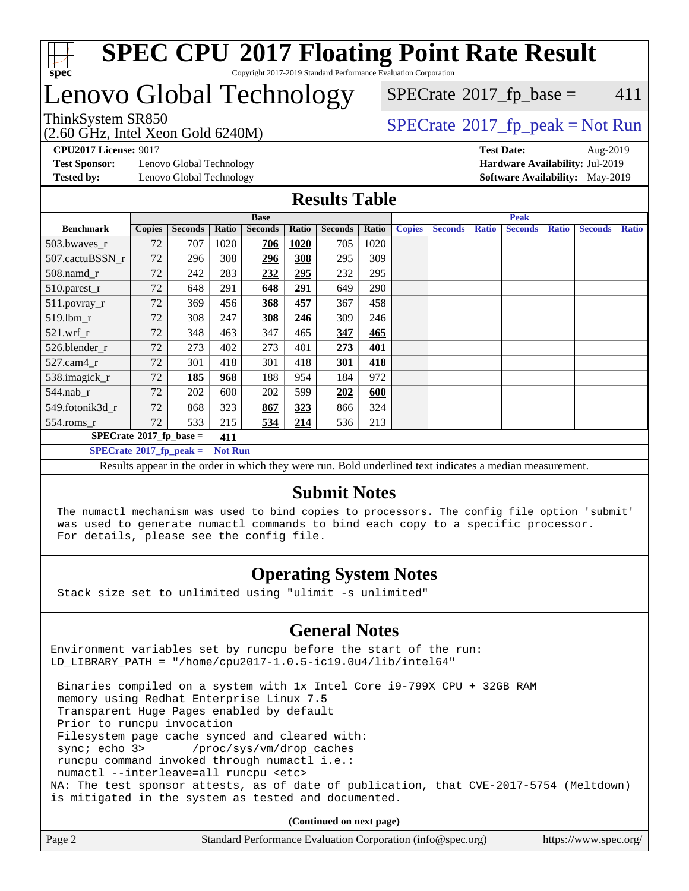

#### **[SPEC CPU](http://www.spec.org/auto/cpu2017/Docs/result-fields.html#SPECCPU2017FloatingPointRateResult)[2017 Floating Point Rate Result](http://www.spec.org/auto/cpu2017/Docs/result-fields.html#SPECCPU2017FloatingPointRateResult)** Copyright 2017-2019 Standard Performance Evaluation Corporation

## Lenovo Global Technology

(2.60 GHz, Intel Xeon Gold 6240M)

ThinkSystem SR850<br>  $\begin{array}{c}\n\text{SPECrate} \textcircled{2017\_fp\_peak} = \text{Not Run} \\
\text{SPECrate} \textcircled{2017\_fp\_peak} = \text{Not Run} \\
\end{array}$  $\begin{array}{c}\n\text{SPECrate} \textcircled{2017\_fp\_peak} = \text{Not Run} \\
\text{SPECrate} \textcircled{2017\_fp\_peak} = \text{Not Run} \\
\end{array}$  $\begin{array}{c}\n\text{SPECrate} \textcircled{2017\_fp\_peak} = \text{Not Run} \\
\text{SPECrate} \textcircled{2017\_fp\_peak} = \text{Not Run} \\
\end{array}$  $SPECTate$ <sup>®</sup>[2017\\_fp\\_base =](http://www.spec.org/auto/cpu2017/Docs/result-fields.html#SPECrate2017fpbase) 411

**[Test Sponsor:](http://www.spec.org/auto/cpu2017/Docs/result-fields.html#TestSponsor)** Lenovo Global Technology **[Hardware Availability:](http://www.spec.org/auto/cpu2017/Docs/result-fields.html#HardwareAvailability)** Jul-2019

**[CPU2017 License:](http://www.spec.org/auto/cpu2017/Docs/result-fields.html#CPU2017License)** 9017 **[Test Date:](http://www.spec.org/auto/cpu2017/Docs/result-fields.html#TestDate)** Aug-2019 **[Tested by:](http://www.spec.org/auto/cpu2017/Docs/result-fields.html#Testedby)** Lenovo Global Technology **[Software Availability:](http://www.spec.org/auto/cpu2017/Docs/result-fields.html#SoftwareAvailability)** May-2019

#### **[Results Table](http://www.spec.org/auto/cpu2017/Docs/result-fields.html#ResultsTable)**

|                                   |               |                |                | <b>Base</b>    |       |                |       | <b>Peak</b>   |                |              |                |              |                |              |
|-----------------------------------|---------------|----------------|----------------|----------------|-------|----------------|-------|---------------|----------------|--------------|----------------|--------------|----------------|--------------|
| <b>Benchmark</b>                  | <b>Copies</b> | <b>Seconds</b> | Ratio          | <b>Seconds</b> | Ratio | <b>Seconds</b> | Ratio | <b>Copies</b> | <b>Seconds</b> | <b>Ratio</b> | <b>Seconds</b> | <b>Ratio</b> | <b>Seconds</b> | <b>Ratio</b> |
| 503.bwaves_r                      | 72            | 707            | 1020           | 706            | 1020  | 705            | 1020  |               |                |              |                |              |                |              |
| 507.cactuBSSN r                   | 72            | 296            | 308            | 296            | 308   | 295            | 309   |               |                |              |                |              |                |              |
| $508$ .namd $r$                   | 72            | 242            | 283            | 232            | 295   | 232            | 295   |               |                |              |                |              |                |              |
| $510.parest_r$                    | 72            | 648            | 291            | 648            | 291   | 649            | 290   |               |                |              |                |              |                |              |
| 511.povray_r                      | 72            | 369            | 456            | 368            | 457   | 367            | 458   |               |                |              |                |              |                |              |
| 519.lbm r                         | 72            | 308            | 247            | 308            | 246   | 309            | 246   |               |                |              |                |              |                |              |
| $521.wrf_r$                       | 72            | 348            | 463            | 347            | 465   | 347            | 465   |               |                |              |                |              |                |              |
| 526.blender r                     | 72            | 273            | 402            | 273            | 401   | 273            | 401   |               |                |              |                |              |                |              |
| $527$ .cam $4r$                   | 72            | 301            | 418            | 301            | 418   | 301            | 418   |               |                |              |                |              |                |              |
| 538.imagick_r                     | 72            | <b>185</b>     | 968            | 188            | 954   | 184            | 972   |               |                |              |                |              |                |              |
| 544.nab r                         | 72            | 202            | 600            | 202            | 599   | 202            | 600   |               |                |              |                |              |                |              |
| 549.fotonik3d r                   | 72            | 868            | 323            | 867            | 323   | 866            | 324   |               |                |              |                |              |                |              |
| $554$ .roms_r                     | 72            | 533            | 215            | 534            | 214   | 536            | 213   |               |                |              |                |              |                |              |
| $SPECrate^{\circ}2017$ _fp_base = |               |                | 411            |                |       |                |       |               |                |              |                |              |                |              |
| $SPECrate^{\circ}2017$ fp peak =  |               |                | <b>Not Run</b> |                |       |                |       |               |                |              |                |              |                |              |

Results appear in the [order in which they were run](http://www.spec.org/auto/cpu2017/Docs/result-fields.html#RunOrder). Bold underlined text [indicates a median measurement.](http://www.spec.org/auto/cpu2017/Docs/result-fields.html#Median)

#### **[Submit Notes](http://www.spec.org/auto/cpu2017/Docs/result-fields.html#SubmitNotes)**

 The numactl mechanism was used to bind copies to processors. The config file option 'submit' was used to generate numactl commands to bind each copy to a specific processor. For details, please see the config file.

### **[Operating System Notes](http://www.spec.org/auto/cpu2017/Docs/result-fields.html#OperatingSystemNotes)**

Stack size set to unlimited using "ulimit -s unlimited"

#### **[General Notes](http://www.spec.org/auto/cpu2017/Docs/result-fields.html#GeneralNotes)**

Environment variables set by runcpu before the start of the run: LD\_LIBRARY\_PATH = "/home/cpu2017-1.0.5-ic19.0u4/lib/intel64"

 Binaries compiled on a system with 1x Intel Core i9-799X CPU + 32GB RAM memory using Redhat Enterprise Linux 7.5 Transparent Huge Pages enabled by default Prior to runcpu invocation Filesystem page cache synced and cleared with: sync; echo 3> /proc/sys/vm/drop\_caches runcpu command invoked through numactl i.e.: numactl --interleave=all runcpu <etc> NA: The test sponsor attests, as of date of publication, that CVE-2017-5754 (Meltdown) is mitigated in the system as tested and documented.

**(Continued on next page)**

| Page 2<br>Standard Performance Evaluation Corporation (info@spec.org) | https://www.spec.org/ |
|-----------------------------------------------------------------------|-----------------------|
|-----------------------------------------------------------------------|-----------------------|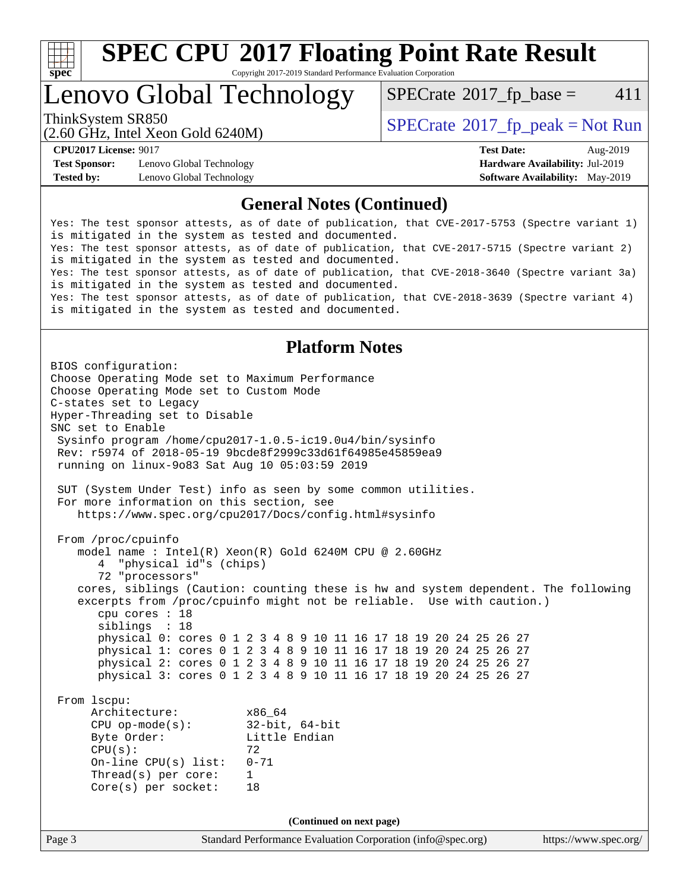

Copyright 2017-2019 Standard Performance Evaluation Corporation

## Lenovo Global Technology

 $SPECTate$ <sup>®</sup>[2017\\_fp\\_base =](http://www.spec.org/auto/cpu2017/Docs/result-fields.html#SPECrate2017fpbase) 411

(2.60 GHz, Intel Xeon Gold 6240M)

ThinkSystem SR850<br>  $SPECrate^{\circ}2017$  $SPECrate^{\circ}2017$  fp\_peak = Not Run

**[Test Sponsor:](http://www.spec.org/auto/cpu2017/Docs/result-fields.html#TestSponsor)** Lenovo Global Technology **[Hardware Availability:](http://www.spec.org/auto/cpu2017/Docs/result-fields.html#HardwareAvailability)** Jul-2019 **[Tested by:](http://www.spec.org/auto/cpu2017/Docs/result-fields.html#Testedby)** Lenovo Global Technology **[Software Availability:](http://www.spec.org/auto/cpu2017/Docs/result-fields.html#SoftwareAvailability)** May-2019

**[CPU2017 License:](http://www.spec.org/auto/cpu2017/Docs/result-fields.html#CPU2017License)** 9017 **[Test Date:](http://www.spec.org/auto/cpu2017/Docs/result-fields.html#TestDate)** Aug-2019

#### **[General Notes \(Continued\)](http://www.spec.org/auto/cpu2017/Docs/result-fields.html#GeneralNotes)**

Yes: The test sponsor attests, as of date of publication, that CVE-2017-5753 (Spectre variant 1) is mitigated in the system as tested and documented. Yes: The test sponsor attests, as of date of publication, that CVE-2017-5715 (Spectre variant 2) is mitigated in the system as tested and documented. Yes: The test sponsor attests, as of date of publication, that CVE-2018-3640 (Spectre variant 3a) is mitigated in the system as tested and documented. Yes: The test sponsor attests, as of date of publication, that CVE-2018-3639 (Spectre variant 4) is mitigated in the system as tested and documented.

### **[Platform Notes](http://www.spec.org/auto/cpu2017/Docs/result-fields.html#PlatformNotes)**

Page 3 Standard Performance Evaluation Corporation [\(info@spec.org\)](mailto:info@spec.org) <https://www.spec.org/> BIOS configuration: Choose Operating Mode set to Maximum Performance Choose Operating Mode set to Custom Mode C-states set to Legacy Hyper-Threading set to Disable SNC set to Enable Sysinfo program /home/cpu2017-1.0.5-ic19.0u4/bin/sysinfo Rev: r5974 of 2018-05-19 9bcde8f2999c33d61f64985e45859ea9 running on linux-9o83 Sat Aug 10 05:03:59 2019 SUT (System Under Test) info as seen by some common utilities. For more information on this section, see <https://www.spec.org/cpu2017/Docs/config.html#sysinfo> From /proc/cpuinfo model name : Intel(R) Xeon(R) Gold 6240M CPU @ 2.60GHz 4 "physical id"s (chips) 72 "processors" cores, siblings (Caution: counting these is hw and system dependent. The following excerpts from /proc/cpuinfo might not be reliable. Use with caution.) cpu cores : 18 siblings : 18 physical 0: cores 0 1 2 3 4 8 9 10 11 16 17 18 19 20 24 25 26 27 physical 1: cores 0 1 2 3 4 8 9 10 11 16 17 18 19 20 24 25 26 27 physical 2: cores 0 1 2 3 4 8 9 10 11 16 17 18 19 20 24 25 26 27 physical 3: cores 0 1 2 3 4 8 9 10 11 16 17 18 19 20 24 25 26 27 From lscpu: Architecture: x86\_64 CPU op-mode(s): 32-bit, 64-bit Byte Order: Little Endian  $CPU(s):$  72 On-line CPU(s) list: 0-71 Thread(s) per core: 1 Core(s) per socket: 18 **(Continued on next page)**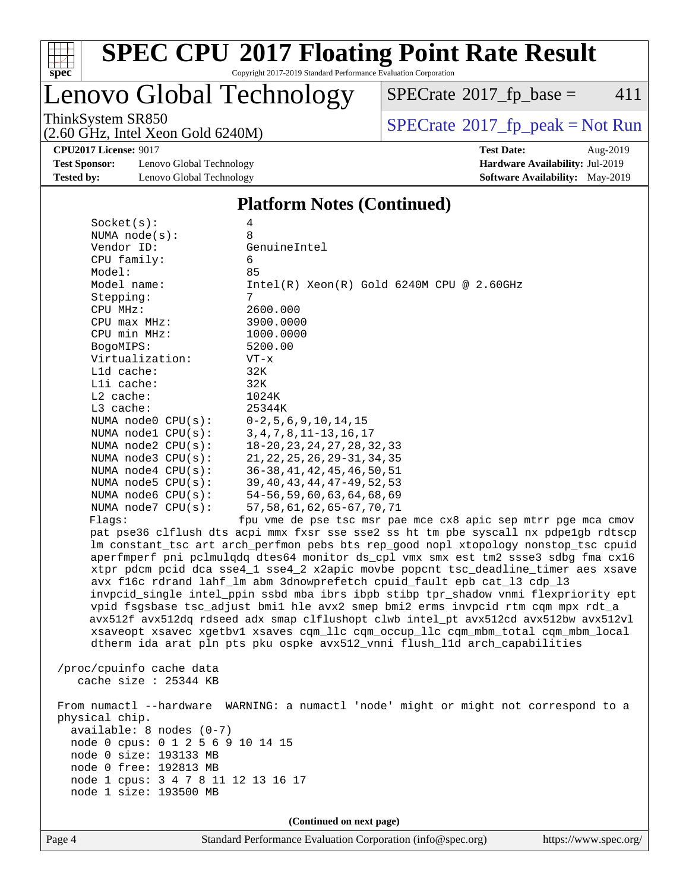

Copyright 2017-2019 Standard Performance Evaluation Corporation

### Lenovo Global Technology

 $SPECTate@2017<sub>fr</sub> base = 411$ 

(2.60 GHz, Intel Xeon Gold 6240M)

ThinkSystem SR850<br>  $\begin{array}{c}\n\text{SPECrate} \textcircled{2017\_fp\_peak} = \text{Not Run} \\
\text{SPECrate} \textcircled{2017\_fp\_peak} = \text{Not Run} \\
\end{array}$  $\begin{array}{c}\n\text{SPECrate} \textcircled{2017\_fp\_peak} = \text{Not Run} \\
\text{SPECrate} \textcircled{2017\_fp\_peak} = \text{Not Run} \\
\end{array}$  $\begin{array}{c}\n\text{SPECrate} \textcircled{2017\_fp\_peak} = \text{Not Run} \\
\text{SPECrate} \textcircled{2017\_fp\_peak} = \text{Not Run} \\
\end{array}$ 

**[CPU2017 License:](http://www.spec.org/auto/cpu2017/Docs/result-fields.html#CPU2017License)** 9017 **[Test Date:](http://www.spec.org/auto/cpu2017/Docs/result-fields.html#TestDate)** Aug-2019

**[Test Sponsor:](http://www.spec.org/auto/cpu2017/Docs/result-fields.html#TestSponsor)** Lenovo Global Technology **[Hardware Availability:](http://www.spec.org/auto/cpu2017/Docs/result-fields.html#HardwareAvailability)** Jul-2019 **[Tested by:](http://www.spec.org/auto/cpu2017/Docs/result-fields.html#Testedby)** Lenovo Global Technology **[Software Availability:](http://www.spec.org/auto/cpu2017/Docs/result-fields.html#SoftwareAvailability)** May-2019

#### **[Platform Notes \(Continued\)](http://www.spec.org/auto/cpu2017/Docs/result-fields.html#PlatformNotes)**

| Socket(s):                            | 4                                                                    |
|---------------------------------------|----------------------------------------------------------------------|
| NUMA $node(s):$                       | 8                                                                    |
| Vendor ID:                            | GenuineIntel                                                         |
| CPU family:                           | 6                                                                    |
| Model:                                | 85                                                                   |
| Model name:                           | $Intel(R)$ Xeon $(R)$ Gold 6240M CPU @ 2.60GHz                       |
| Stepping:                             | 7                                                                    |
| CPU MHz:                              | 2600.000                                                             |
| $CPU$ $max$ $MHz$ :                   | 3900.0000                                                            |
| $CPU$ min $MHz$ :                     | 1000.0000                                                            |
| BogoMIPS:                             | 5200.00                                                              |
| Virtualization:                       | $VT - x$                                                             |
| $L1d$ cache:                          | 32K                                                                  |
| $L1i$ cache:                          | 32K                                                                  |
| $L2$ cache:                           | 1024K                                                                |
| $L3$ cache:                           | 25344K                                                               |
| NUMA node0 CPU(s): 0-2,5,6,9,10,14,15 |                                                                      |
| NUMA node1 CPU(s):                    | 3, 4, 7, 8, 11 - 13, 16, 17                                          |
| NUMA node2 CPU(s):                    | 18-20, 23, 24, 27, 28, 32, 33                                        |
| NUMA node3 CPU(s):                    | 21, 22, 25, 26, 29 – 31, 34, 35                                      |
| NUMA node4 CPU(s):                    | 36-38,41,42,45,46,50,51                                              |
| NUMA node5 CPU(s):                    | 39, 40, 43, 44, 47–49, 52, 53                                        |
| NUMA node6 CPU(s):                    | 54-56,59,60,63,64,68,69                                              |
|                                       | NUMA node7 CPU(s): 57,58,61,62,65-67,70,71                           |
| Flaqs:                                | fpu vme de pse tsc msr pae mce cx8 apic sep mt:                      |
|                                       | pat pse36 clflush dts acpi mmx fxsr sse sse2 ss ht tm pbe syscall nx |

rr pge mca cmov pdpe1gb rdtscp lm constant\_tsc art arch\_perfmon pebs bts rep\_good nopl xtopology nonstop\_tsc cpuid aperfmperf pni pclmulqdq dtes64 monitor ds\_cpl vmx smx est tm2 ssse3 sdbg fma cx16 xtpr pdcm pcid dca sse4\_1 sse4\_2 x2apic movbe popcnt tsc\_deadline\_timer aes xsave avx f16c rdrand lahf\_lm abm 3dnowprefetch cpuid\_fault epb cat\_l3 cdp\_l3 invpcid\_single intel\_ppin ssbd mba ibrs ibpb stibp tpr\_shadow vnmi flexpriority ept vpid fsgsbase tsc\_adjust bmi1 hle avx2 smep bmi2 erms invpcid rtm cqm mpx rdt\_a avx512f avx512dq rdseed adx smap clflushopt clwb intel\_pt avx512cd avx512bw avx512vl xsaveopt xsavec xgetbv1 xsaves cqm\_llc cqm\_occup\_llc cqm\_mbm\_total cqm\_mbm\_local dtherm ida arat pln pts pku ospke avx512\_vnni flush\_l1d arch\_capabilities

 /proc/cpuinfo cache data cache size : 25344 KB

 From numactl --hardware WARNING: a numactl 'node' might or might not correspond to a physical chip. available: 8 nodes (0-7) node 0 cpus: 0 1 2 5 6 9 10 14 15 node 0 size: 193133 MB node 0 free: 192813 MB node 1 cpus: 3 4 7 8 11 12 13 16 17 node 1 size: 193500 MB

**(Continued on next page)**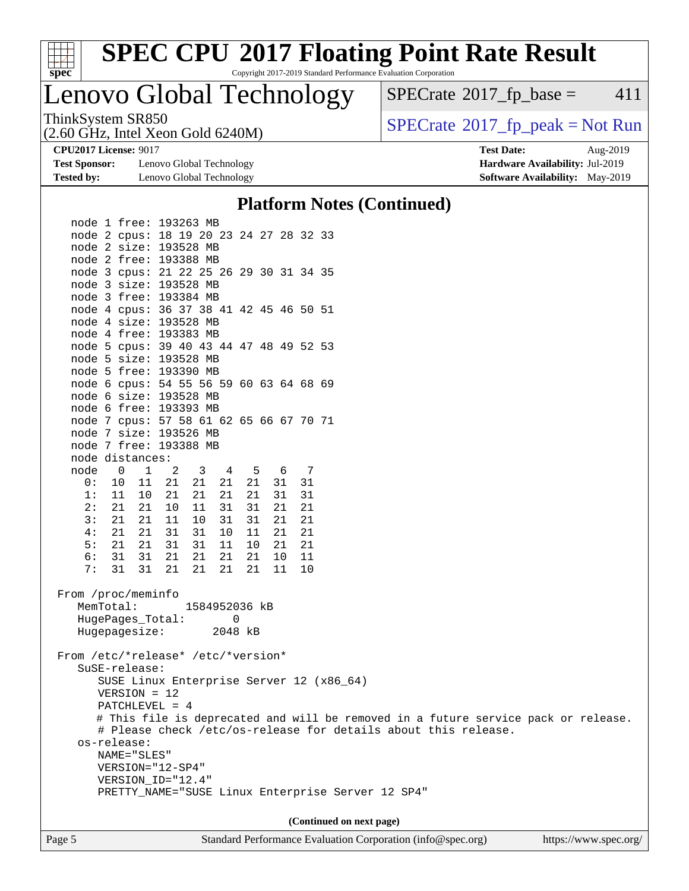

Copyright 2017-2019 Standard Performance Evaluation Corporation

Lenovo Global Technology

 $SPECTate$ <sup>®</sup>[2017\\_fp\\_base =](http://www.spec.org/auto/cpu2017/Docs/result-fields.html#SPECrate2017fpbase) 411

(2.60 GHz, Intel Xeon Gold 6240M)

ThinkSystem SR850<br>(2.60 GHz, Intel Xeon Gold 6240M)  $\begin{array}{c} | \text{SPECrate} \textdegree 2017\_fp\_peak = Not Run \end{array}$  $\begin{array}{c} | \text{SPECrate} \textdegree 2017\_fp\_peak = Not Run \end{array}$  $\begin{array}{c} | \text{SPECrate} \textdegree 2017\_fp\_peak = Not Run \end{array}$ 

**[Test Sponsor:](http://www.spec.org/auto/cpu2017/Docs/result-fields.html#TestSponsor)** Lenovo Global Technology **[Hardware Availability:](http://www.spec.org/auto/cpu2017/Docs/result-fields.html#HardwareAvailability)** Jul-2019 **[Tested by:](http://www.spec.org/auto/cpu2017/Docs/result-fields.html#Testedby)** Lenovo Global Technology **[Software Availability:](http://www.spec.org/auto/cpu2017/Docs/result-fields.html#SoftwareAvailability)** May-2019

**[CPU2017 License:](http://www.spec.org/auto/cpu2017/Docs/result-fields.html#CPU2017License)** 9017 **[Test Date:](http://www.spec.org/auto/cpu2017/Docs/result-fields.html#TestDate)** Aug-2019

#### **[Platform Notes \(Continued\)](http://www.spec.org/auto/cpu2017/Docs/result-fields.html#PlatformNotes)**

Page 5 Standard Performance Evaluation Corporation [\(info@spec.org\)](mailto:info@spec.org) <https://www.spec.org/> node 1 free: 193263 MB node 2 cpus: 18 19 20 23 24 27 28 32 33 node 2 size: 193528 MB node 2 free: 193388 MB node 3 cpus: 21 22 25 26 29 30 31 34 35 node 3 size: 193528 MB node 3 free: 193384 MB node 4 cpus: 36 37 38 41 42 45 46 50 51 node 4 size: 193528 MB node 4 free: 193383 MB node 5 cpus: 39 40 43 44 47 48 49 52 53 node 5 size: 193528 MB node 5 free: 193390 MB node 6 cpus: 54 55 56 59 60 63 64 68 69 node 6 size: 193528 MB node 6 free: 193393 MB node 7 cpus: 57 58 61 62 65 66 67 70 71 node 7 size: 193526 MB node 7 free: 193388 MB node distances: node 0 1 2 3 4 5 6 7 0: 10 11 21 21 21 21 31 31 1: 11 10 21 21 21 21 31 31 2: 21 21 10 11 31 31 21 21 3: 21 21 11 10 31 31 21 21 4: 21 21 31 31 10 11 21 21 5: 21 21 31 31 11 10 21 21 6: 31 31 21 21 21 21 10 11 7: 31 31 21 21 21 21 11 10 From /proc/meminfo MemTotal: 1584952036 kB HugePages\_Total: 0 Hugepagesize: 2048 kB From /etc/\*release\* /etc/\*version\* SuSE-release: SUSE Linux Enterprise Server 12 (x86\_64) VERSION = 12 PATCHLEVEL = 4 # This file is deprecated and will be removed in a future service pack or release. # Please check /etc/os-release for details about this release. os-release: NAME="SLES" VERSION="12-SP4" VERSION\_ID="12.4" PRETTY\_NAME="SUSE Linux Enterprise Server 12 SP4" **(Continued on next page)**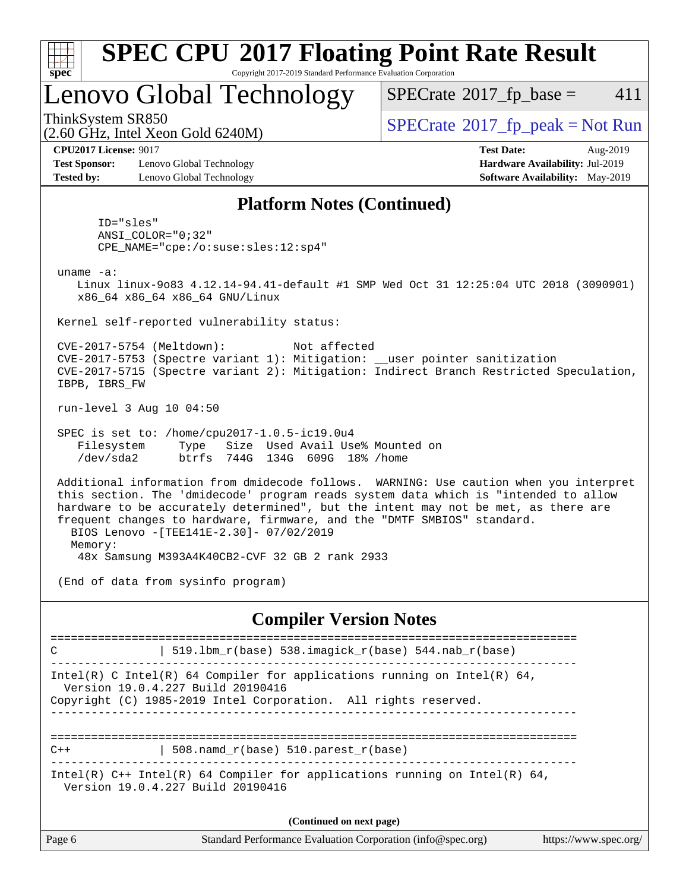

#### **[SPEC CPU](http://www.spec.org/auto/cpu2017/Docs/result-fields.html#SPECCPU2017FloatingPointRateResult)[2017 Floating Point Rate Result](http://www.spec.org/auto/cpu2017/Docs/result-fields.html#SPECCPU2017FloatingPointRateResult)** Copyright 2017-2019 Standard Performance Evaluation Corporation

### Lenovo Global Technology

 $SPECTate$ <sup>®</sup>[2017\\_fp\\_base =](http://www.spec.org/auto/cpu2017/Docs/result-fields.html#SPECrate2017fpbase) 411

(2.60 GHz, Intel Xeon Gold 6240M)

 $SPECTate$ <sup>®</sup>[2017\\_fp\\_peak = N](http://www.spec.org/auto/cpu2017/Docs/result-fields.html#SPECrate2017fppeak)ot Run

**[CPU2017 License:](http://www.spec.org/auto/cpu2017/Docs/result-fields.html#CPU2017License)** 9017 **[Test Date:](http://www.spec.org/auto/cpu2017/Docs/result-fields.html#TestDate)** Aug-2019

**[Test Sponsor:](http://www.spec.org/auto/cpu2017/Docs/result-fields.html#TestSponsor)** Lenovo Global Technology **[Hardware Availability:](http://www.spec.org/auto/cpu2017/Docs/result-fields.html#HardwareAvailability)** Jul-2019 **[Tested by:](http://www.spec.org/auto/cpu2017/Docs/result-fields.html#Testedby)** Lenovo Global Technology **[Software Availability:](http://www.spec.org/auto/cpu2017/Docs/result-fields.html#SoftwareAvailability)** May-2019

#### **[Platform Notes \(Continued\)](http://www.spec.org/auto/cpu2017/Docs/result-fields.html#PlatformNotes)**

 ID="sles" ANSI\_COLOR="0;32" CPE\_NAME="cpe:/o:suse:sles:12:sp4"

uname -a:

 Linux linux-9o83 4.12.14-94.41-default #1 SMP Wed Oct 31 12:25:04 UTC 2018 (3090901) x86\_64 x86\_64 x86\_64 GNU/Linux

Kernel self-reported vulnerability status:

 CVE-2017-5754 (Meltdown): Not affected CVE-2017-5753 (Spectre variant 1): Mitigation: \_\_user pointer sanitization CVE-2017-5715 (Spectre variant 2): Mitigation: Indirect Branch Restricted Speculation, IBPB, IBRS\_FW

run-level 3 Aug 10 04:50

 SPEC is set to: /home/cpu2017-1.0.5-ic19.0u4 Filesystem Type Size Used Avail Use% Mounted on /dev/sda2 btrfs 744G 134G 609G 18% /home

 Additional information from dmidecode follows. WARNING: Use caution when you interpret this section. The 'dmidecode' program reads system data which is "intended to allow hardware to be accurately determined", but the intent may not be met, as there are frequent changes to hardware, firmware, and the "DMTF SMBIOS" standard. BIOS Lenovo -[TEE141E-2.30]- 07/02/2019 Memory:

48x Samsung M393A4K40CB2-CVF 32 GB 2 rank 2933

(End of data from sysinfo program)

#### **[Compiler Version Notes](http://www.spec.org/auto/cpu2017/Docs/result-fields.html#CompilerVersionNotes)**

============================================================================== C | 519.lbm\_r(base) 538.imagick\_r(base) 544.nab\_r(base) ------------------------------------------------------------------------------ Intel(R) C Intel(R) 64 Compiler for applications running on Intel(R)  $64$ , Version 19.0.4.227 Build 20190416 Copyright (C) 1985-2019 Intel Corporation. All rights reserved. ------------------------------------------------------------------------------ ==============================================================================  $C++$  | 508.namd  $r(base)$  510.parest  $r(base)$ ------------------------------------------------------------------------------ Intel(R)  $C++$  Intel(R) 64 Compiler for applications running on Intel(R) 64, Version 19.0.4.227 Build 20190416 **(Continued on next page)**

| Page 6 | Standard Performance Evaluation Corporation (info@spec.org) | https://www.spec.org/ |
|--------|-------------------------------------------------------------|-----------------------|
|--------|-------------------------------------------------------------|-----------------------|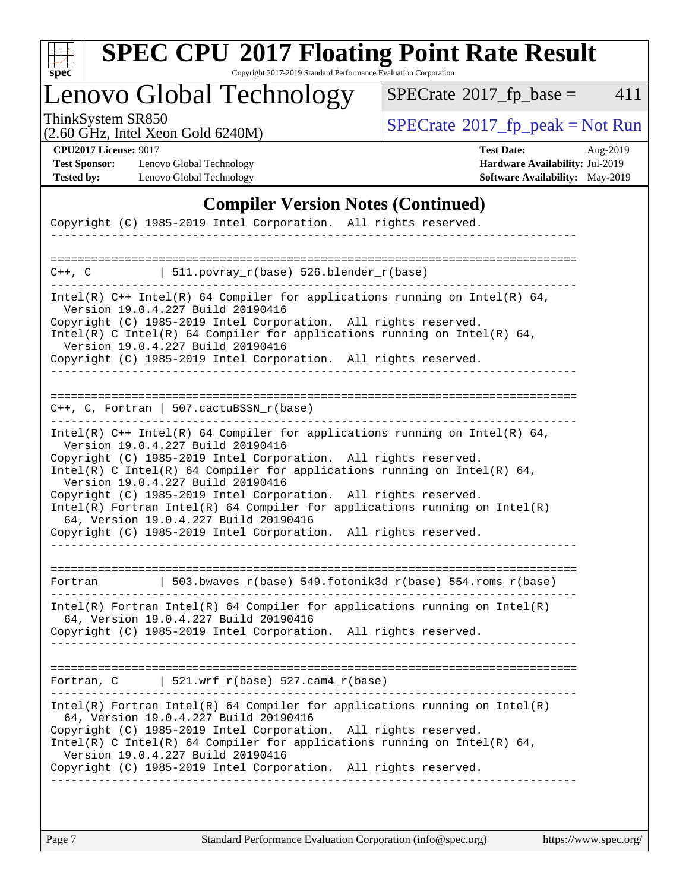

Copyright 2017-2019 Standard Performance Evaluation Corporation

# Lenovo Global Technology

 $SPECTate@2017_fp\_base = 411$ 

(2.60 GHz, Intel Xeon Gold 6240M)

ThinkSystem SR850<br>  $(2.60 \text{ GHz})$  Intel Xeon Gold 6240M)

**[Test Sponsor:](http://www.spec.org/auto/cpu2017/Docs/result-fields.html#TestSponsor)** Lenovo Global Technology **[Hardware Availability:](http://www.spec.org/auto/cpu2017/Docs/result-fields.html#HardwareAvailability)** Jul-2019 **[Tested by:](http://www.spec.org/auto/cpu2017/Docs/result-fields.html#Testedby)** Lenovo Global Technology **[Software Availability:](http://www.spec.org/auto/cpu2017/Docs/result-fields.html#SoftwareAvailability)** May-2019

**[CPU2017 License:](http://www.spec.org/auto/cpu2017/Docs/result-fields.html#CPU2017License)** 9017 **[Test Date:](http://www.spec.org/auto/cpu2017/Docs/result-fields.html#TestDate)** Aug-2019

#### **[Compiler Version Notes \(Continued\)](http://www.spec.org/auto/cpu2017/Docs/result-fields.html#CompilerVersionNotes)**

| Copyright (C) 1985-2019 Intel Corporation. All rights reserved.                                                                                                                                                                                                                                                                                                                                                                                                                                                                                                    |
|--------------------------------------------------------------------------------------------------------------------------------------------------------------------------------------------------------------------------------------------------------------------------------------------------------------------------------------------------------------------------------------------------------------------------------------------------------------------------------------------------------------------------------------------------------------------|
|                                                                                                                                                                                                                                                                                                                                                                                                                                                                                                                                                                    |
| $ $ 511.povray_r(base) 526.blender_r(base)<br>C++, C                                                                                                                                                                                                                                                                                                                                                                                                                                                                                                               |
| Intel(R) C++ Intel(R) 64 Compiler for applications running on Intel(R) 64,<br>Version 19.0.4.227 Build 20190416<br>Copyright (C) 1985-2019 Intel Corporation. All rights reserved.<br>Intel(R) C Intel(R) 64 Compiler for applications running on Intel(R) 64,<br>Version 19.0.4.227 Build 20190416<br>Copyright (C) 1985-2019 Intel Corporation. All rights reserved.                                                                                                                                                                                             |
| C++, C, Fortran   507.cactuBSSN_r(base)                                                                                                                                                                                                                                                                                                                                                                                                                                                                                                                            |
| Intel(R) $C++$ Intel(R) 64 Compiler for applications running on Intel(R) 64,<br>Version 19.0.4.227 Build 20190416<br>Copyright (C) 1985-2019 Intel Corporation. All rights reserved.<br>Intel(R) C Intel(R) 64 Compiler for applications running on Intel(R) 64,<br>Version 19.0.4.227 Build 20190416<br>Copyright (C) 1985-2019 Intel Corporation. All rights reserved.<br>Intel(R) Fortran Intel(R) 64 Compiler for applications running on Intel(R)<br>64, Version 19.0.4.227 Build 20190416<br>Copyright (C) 1985-2019 Intel Corporation. All rights reserved. |
| $\vert$ 503.bwaves_r(base) 549.fotonik3d_r(base) 554.roms_r(base)<br>Fortran                                                                                                                                                                                                                                                                                                                                                                                                                                                                                       |
| $Intel(R)$ Fortran Intel(R) 64 Compiler for applications running on Intel(R)<br>64, Version 19.0.4.227 Build 20190416<br>Copyright (C) 1985-2019 Intel Corporation. All rights reserved.                                                                                                                                                                                                                                                                                                                                                                           |
| Fortran, $C$   521.wrf_r(base) 527.cam4_r(base)                                                                                                                                                                                                                                                                                                                                                                                                                                                                                                                    |
| Intel(R) Fortran Intel(R) 64 Compiler for applications running on Intel(R)<br>64, Version 19.0.4.227 Build 20190416<br>Copyright (C) 1985-2019 Intel Corporation. All rights reserved.<br>Intel(R) C Intel(R) 64 Compiler for applications running on Intel(R) 64,<br>Version 19.0.4.227 Build 20190416<br>Copyright (C) 1985-2019 Intel Corporation. All rights reserved.                                                                                                                                                                                         |
|                                                                                                                                                                                                                                                                                                                                                                                                                                                                                                                                                                    |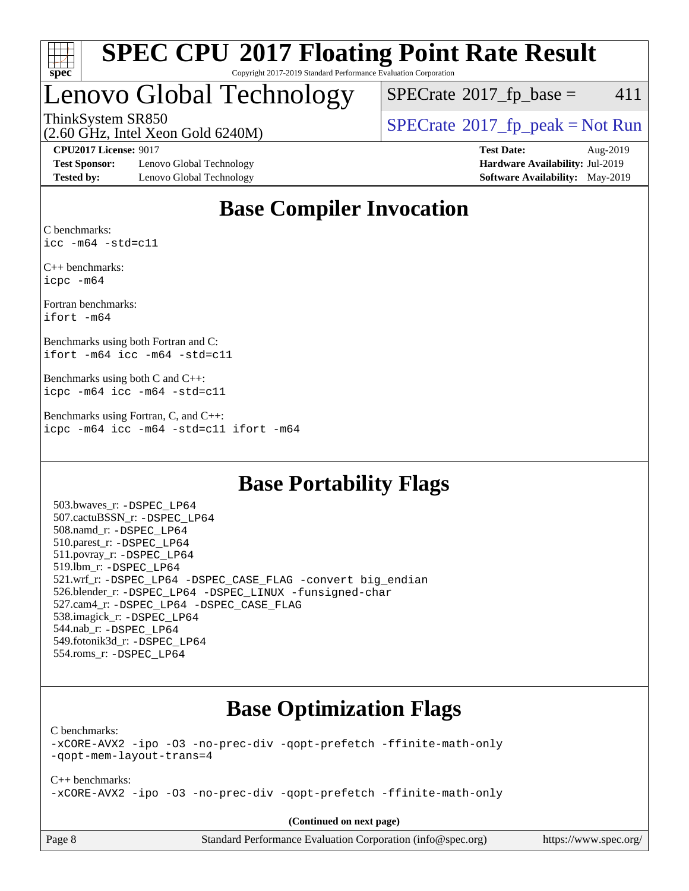

#### **[SPEC CPU](http://www.spec.org/auto/cpu2017/Docs/result-fields.html#SPECCPU2017FloatingPointRateResult)[2017 Floating Point Rate Result](http://www.spec.org/auto/cpu2017/Docs/result-fields.html#SPECCPU2017FloatingPointRateResult)** Copyright 2017-2019 Standard Performance Evaluation Corporation

### Lenovo Global Technology

 $SPECTate@2017<sub>fr</sub> base = 411$ 

ThinkSystem SR850<br>  $\begin{array}{c}\n\text{SPECrate} \textcircled{2017\_fp\_peak} = \text{Not Run} \\
\text{SPECrate} \textcircled{2017\_fp\_peak} = \text{Not Run} \\
\end{array}$  $\begin{array}{c}\n\text{SPECrate} \textcircled{2017\_fp\_peak} = \text{Not Run} \\
\text{SPECrate} \textcircled{2017\_fp\_peak} = \text{Not Run} \\
\end{array}$  $\begin{array}{c}\n\text{SPECrate} \textcircled{2017\_fp\_peak} = \text{Not Run} \\
\text{SPECrate} \textcircled{2017\_fp\_peak} = \text{Not Run} \\
\end{array}$ 

(2.60 GHz, Intel Xeon Gold 6240M)

**[Test Sponsor:](http://www.spec.org/auto/cpu2017/Docs/result-fields.html#TestSponsor)** Lenovo Global Technology **[Hardware Availability:](http://www.spec.org/auto/cpu2017/Docs/result-fields.html#HardwareAvailability)** Jul-2019 **[Tested by:](http://www.spec.org/auto/cpu2017/Docs/result-fields.html#Testedby)** Lenovo Global Technology **[Software Availability:](http://www.spec.org/auto/cpu2017/Docs/result-fields.html#SoftwareAvailability)** May-2019

**[CPU2017 License:](http://www.spec.org/auto/cpu2017/Docs/result-fields.html#CPU2017License)** 9017 **[Test Date:](http://www.spec.org/auto/cpu2017/Docs/result-fields.html#TestDate)** Aug-2019

### **[Base Compiler Invocation](http://www.spec.org/auto/cpu2017/Docs/result-fields.html#BaseCompilerInvocation)**

[C benchmarks](http://www.spec.org/auto/cpu2017/Docs/result-fields.html#Cbenchmarks): [icc -m64 -std=c11](http://www.spec.org/cpu2017/results/res2019q3/cpu2017-20190819-17030.flags.html#user_CCbase_intel_icc_64bit_c11_33ee0cdaae7deeeab2a9725423ba97205ce30f63b9926c2519791662299b76a0318f32ddfffdc46587804de3178b4f9328c46fa7c2b0cd779d7a61945c91cd35)

[C++ benchmarks:](http://www.spec.org/auto/cpu2017/Docs/result-fields.html#CXXbenchmarks) [icpc -m64](http://www.spec.org/cpu2017/results/res2019q3/cpu2017-20190819-17030.flags.html#user_CXXbase_intel_icpc_64bit_4ecb2543ae3f1412ef961e0650ca070fec7b7afdcd6ed48761b84423119d1bf6bdf5cad15b44d48e7256388bc77273b966e5eb805aefd121eb22e9299b2ec9d9)

[Fortran benchmarks:](http://www.spec.org/auto/cpu2017/Docs/result-fields.html#Fortranbenchmarks) [ifort -m64](http://www.spec.org/cpu2017/results/res2019q3/cpu2017-20190819-17030.flags.html#user_FCbase_intel_ifort_64bit_24f2bb282fbaeffd6157abe4f878425411749daecae9a33200eee2bee2fe76f3b89351d69a8130dd5949958ce389cf37ff59a95e7a40d588e8d3a57e0c3fd751)

[Benchmarks using both Fortran and C](http://www.spec.org/auto/cpu2017/Docs/result-fields.html#BenchmarksusingbothFortranandC): [ifort -m64](http://www.spec.org/cpu2017/results/res2019q3/cpu2017-20190819-17030.flags.html#user_CC_FCbase_intel_ifort_64bit_24f2bb282fbaeffd6157abe4f878425411749daecae9a33200eee2bee2fe76f3b89351d69a8130dd5949958ce389cf37ff59a95e7a40d588e8d3a57e0c3fd751) [icc -m64 -std=c11](http://www.spec.org/cpu2017/results/res2019q3/cpu2017-20190819-17030.flags.html#user_CC_FCbase_intel_icc_64bit_c11_33ee0cdaae7deeeab2a9725423ba97205ce30f63b9926c2519791662299b76a0318f32ddfffdc46587804de3178b4f9328c46fa7c2b0cd779d7a61945c91cd35)

[Benchmarks using both C and C++:](http://www.spec.org/auto/cpu2017/Docs/result-fields.html#BenchmarksusingbothCandCXX) [icpc -m64](http://www.spec.org/cpu2017/results/res2019q3/cpu2017-20190819-17030.flags.html#user_CC_CXXbase_intel_icpc_64bit_4ecb2543ae3f1412ef961e0650ca070fec7b7afdcd6ed48761b84423119d1bf6bdf5cad15b44d48e7256388bc77273b966e5eb805aefd121eb22e9299b2ec9d9) [icc -m64 -std=c11](http://www.spec.org/cpu2017/results/res2019q3/cpu2017-20190819-17030.flags.html#user_CC_CXXbase_intel_icc_64bit_c11_33ee0cdaae7deeeab2a9725423ba97205ce30f63b9926c2519791662299b76a0318f32ddfffdc46587804de3178b4f9328c46fa7c2b0cd779d7a61945c91cd35)

[Benchmarks using Fortran, C, and C++](http://www.spec.org/auto/cpu2017/Docs/result-fields.html#BenchmarksusingFortranCandCXX): [icpc -m64](http://www.spec.org/cpu2017/results/res2019q3/cpu2017-20190819-17030.flags.html#user_CC_CXX_FCbase_intel_icpc_64bit_4ecb2543ae3f1412ef961e0650ca070fec7b7afdcd6ed48761b84423119d1bf6bdf5cad15b44d48e7256388bc77273b966e5eb805aefd121eb22e9299b2ec9d9) [icc -m64 -std=c11](http://www.spec.org/cpu2017/results/res2019q3/cpu2017-20190819-17030.flags.html#user_CC_CXX_FCbase_intel_icc_64bit_c11_33ee0cdaae7deeeab2a9725423ba97205ce30f63b9926c2519791662299b76a0318f32ddfffdc46587804de3178b4f9328c46fa7c2b0cd779d7a61945c91cd35) [ifort -m64](http://www.spec.org/cpu2017/results/res2019q3/cpu2017-20190819-17030.flags.html#user_CC_CXX_FCbase_intel_ifort_64bit_24f2bb282fbaeffd6157abe4f878425411749daecae9a33200eee2bee2fe76f3b89351d69a8130dd5949958ce389cf37ff59a95e7a40d588e8d3a57e0c3fd751)

### **[Base Portability Flags](http://www.spec.org/auto/cpu2017/Docs/result-fields.html#BasePortabilityFlags)**

 503.bwaves\_r: [-DSPEC\\_LP64](http://www.spec.org/cpu2017/results/res2019q3/cpu2017-20190819-17030.flags.html#suite_basePORTABILITY503_bwaves_r_DSPEC_LP64) 507.cactuBSSN\_r: [-DSPEC\\_LP64](http://www.spec.org/cpu2017/results/res2019q3/cpu2017-20190819-17030.flags.html#suite_basePORTABILITY507_cactuBSSN_r_DSPEC_LP64) 508.namd\_r: [-DSPEC\\_LP64](http://www.spec.org/cpu2017/results/res2019q3/cpu2017-20190819-17030.flags.html#suite_basePORTABILITY508_namd_r_DSPEC_LP64) 510.parest\_r: [-DSPEC\\_LP64](http://www.spec.org/cpu2017/results/res2019q3/cpu2017-20190819-17030.flags.html#suite_basePORTABILITY510_parest_r_DSPEC_LP64) 511.povray\_r: [-DSPEC\\_LP64](http://www.spec.org/cpu2017/results/res2019q3/cpu2017-20190819-17030.flags.html#suite_basePORTABILITY511_povray_r_DSPEC_LP64) 519.lbm\_r: [-DSPEC\\_LP64](http://www.spec.org/cpu2017/results/res2019q3/cpu2017-20190819-17030.flags.html#suite_basePORTABILITY519_lbm_r_DSPEC_LP64) 521.wrf\_r: [-DSPEC\\_LP64](http://www.spec.org/cpu2017/results/res2019q3/cpu2017-20190819-17030.flags.html#suite_basePORTABILITY521_wrf_r_DSPEC_LP64) [-DSPEC\\_CASE\\_FLAG](http://www.spec.org/cpu2017/results/res2019q3/cpu2017-20190819-17030.flags.html#b521.wrf_r_baseCPORTABILITY_DSPEC_CASE_FLAG) [-convert big\\_endian](http://www.spec.org/cpu2017/results/res2019q3/cpu2017-20190819-17030.flags.html#user_baseFPORTABILITY521_wrf_r_convert_big_endian_c3194028bc08c63ac5d04de18c48ce6d347e4e562e8892b8bdbdc0214820426deb8554edfa529a3fb25a586e65a3d812c835984020483e7e73212c4d31a38223) 526.blender\_r: [-DSPEC\\_LP64](http://www.spec.org/cpu2017/results/res2019q3/cpu2017-20190819-17030.flags.html#suite_basePORTABILITY526_blender_r_DSPEC_LP64) [-DSPEC\\_LINUX](http://www.spec.org/cpu2017/results/res2019q3/cpu2017-20190819-17030.flags.html#b526.blender_r_baseCPORTABILITY_DSPEC_LINUX) [-funsigned-char](http://www.spec.org/cpu2017/results/res2019q3/cpu2017-20190819-17030.flags.html#user_baseCPORTABILITY526_blender_r_force_uchar_40c60f00ab013830e2dd6774aeded3ff59883ba5a1fc5fc14077f794d777847726e2a5858cbc7672e36e1b067e7e5c1d9a74f7176df07886a243d7cc18edfe67) 527.cam4\_r: [-DSPEC\\_LP64](http://www.spec.org/cpu2017/results/res2019q3/cpu2017-20190819-17030.flags.html#suite_basePORTABILITY527_cam4_r_DSPEC_LP64) [-DSPEC\\_CASE\\_FLAG](http://www.spec.org/cpu2017/results/res2019q3/cpu2017-20190819-17030.flags.html#b527.cam4_r_baseCPORTABILITY_DSPEC_CASE_FLAG) 538.imagick\_r: [-DSPEC\\_LP64](http://www.spec.org/cpu2017/results/res2019q3/cpu2017-20190819-17030.flags.html#suite_basePORTABILITY538_imagick_r_DSPEC_LP64) 544.nab\_r: [-DSPEC\\_LP64](http://www.spec.org/cpu2017/results/res2019q3/cpu2017-20190819-17030.flags.html#suite_basePORTABILITY544_nab_r_DSPEC_LP64) 549.fotonik3d\_r: [-DSPEC\\_LP64](http://www.spec.org/cpu2017/results/res2019q3/cpu2017-20190819-17030.flags.html#suite_basePORTABILITY549_fotonik3d_r_DSPEC_LP64) 554.roms\_r: [-DSPEC\\_LP64](http://www.spec.org/cpu2017/results/res2019q3/cpu2017-20190819-17030.flags.html#suite_basePORTABILITY554_roms_r_DSPEC_LP64)

### **[Base Optimization Flags](http://www.spec.org/auto/cpu2017/Docs/result-fields.html#BaseOptimizationFlags)**

[C benchmarks](http://www.spec.org/auto/cpu2017/Docs/result-fields.html#Cbenchmarks):

[-xCORE-AVX2](http://www.spec.org/cpu2017/results/res2019q3/cpu2017-20190819-17030.flags.html#user_CCbase_f-xCORE-AVX2) [-ipo](http://www.spec.org/cpu2017/results/res2019q3/cpu2017-20190819-17030.flags.html#user_CCbase_f-ipo) [-O3](http://www.spec.org/cpu2017/results/res2019q3/cpu2017-20190819-17030.flags.html#user_CCbase_f-O3) [-no-prec-div](http://www.spec.org/cpu2017/results/res2019q3/cpu2017-20190819-17030.flags.html#user_CCbase_f-no-prec-div) [-qopt-prefetch](http://www.spec.org/cpu2017/results/res2019q3/cpu2017-20190819-17030.flags.html#user_CCbase_f-qopt-prefetch) [-ffinite-math-only](http://www.spec.org/cpu2017/results/res2019q3/cpu2017-20190819-17030.flags.html#user_CCbase_f_finite_math_only_cb91587bd2077682c4b38af759c288ed7c732db004271a9512da14a4f8007909a5f1427ecbf1a0fb78ff2a814402c6114ac565ca162485bbcae155b5e4258871) [-qopt-mem-layout-trans=4](http://www.spec.org/cpu2017/results/res2019q3/cpu2017-20190819-17030.flags.html#user_CCbase_f-qopt-mem-layout-trans_fa39e755916c150a61361b7846f310bcdf6f04e385ef281cadf3647acec3f0ae266d1a1d22d972a7087a248fd4e6ca390a3634700869573d231a252c784941a8)

[C++ benchmarks:](http://www.spec.org/auto/cpu2017/Docs/result-fields.html#CXXbenchmarks) [-xCORE-AVX2](http://www.spec.org/cpu2017/results/res2019q3/cpu2017-20190819-17030.flags.html#user_CXXbase_f-xCORE-AVX2) [-ipo](http://www.spec.org/cpu2017/results/res2019q3/cpu2017-20190819-17030.flags.html#user_CXXbase_f-ipo) [-O3](http://www.spec.org/cpu2017/results/res2019q3/cpu2017-20190819-17030.flags.html#user_CXXbase_f-O3) [-no-prec-div](http://www.spec.org/cpu2017/results/res2019q3/cpu2017-20190819-17030.flags.html#user_CXXbase_f-no-prec-div) [-qopt-prefetch](http://www.spec.org/cpu2017/results/res2019q3/cpu2017-20190819-17030.flags.html#user_CXXbase_f-qopt-prefetch) [-ffinite-math-only](http://www.spec.org/cpu2017/results/res2019q3/cpu2017-20190819-17030.flags.html#user_CXXbase_f_finite_math_only_cb91587bd2077682c4b38af759c288ed7c732db004271a9512da14a4f8007909a5f1427ecbf1a0fb78ff2a814402c6114ac565ca162485bbcae155b5e4258871)

**(Continued on next page)**

Page 8 Standard Performance Evaluation Corporation [\(info@spec.org\)](mailto:info@spec.org) <https://www.spec.org/>